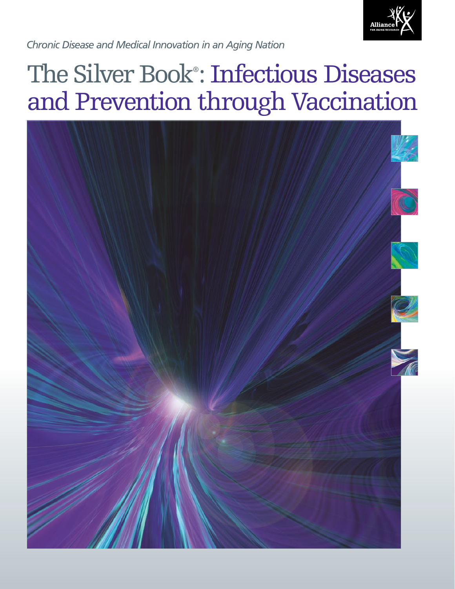

*Chronic Disease and Medical Innovation in an Aging Nation*

# The Silver Book® : Infectious Diseases and Prevention through Vaccination

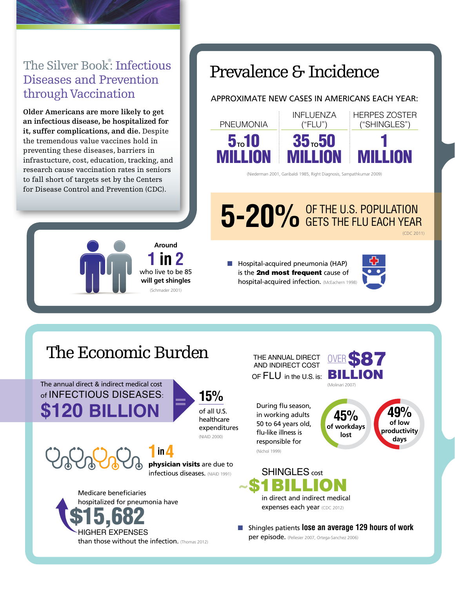### The Silver Book<sup>®</sup>: Infectious Diseases and Prevention through Vaccination

**Older Americans are more likely to get an infectious disease, be hospitalized for it, suffer complications, and die.** Despite the tremendous value vaccines hold in preventing these diseases, barriers in infrastucture, cost, education, tracking, and research cause vaccination rates in seniors to fall short of targets set by the Centers for Disease Control and Prevention (CDC).



### Prevalence & Incidence

#### APPROXIMATE NEW CASES IN AMERICANS EACH YEAR:



(Niederman 2001, Garibaldi 1985, Right Diagnosis, Sampathkumar 2009)

# 5-20% OF THE U.S. POPULATION

(CDC 2011)

 $\blacksquare$  Hospital-acquired pneumonia (HAP) is the 2nd most frequent cause of hospital-acquired infection. (McEachern 1998)



## The Economic Burden

The annual direct & indirect medical cost of INFECTIOUS DISEASES: **\$120 BILLION <sup>=</sup> 15%**



(NIAID 2000)

**1in4** physician visits are due to **infectious diseases.** (NIAID 1991)

Medicare beneficiaries hospitalized for pneumonia have ل ر HIGHER EXPENSES than those without the infection. (Thomas 2012) OF FLU in the U.S. is: **BILLION** THE ANNUAL DIRECT AND INDIRECT COST



During flu season, in working adults 50 to 64 years old, flu-like illness is responsible for (Nichol 1999)





SHINGLES cost ~\$1BILLION in direct and indirect medical expenses each year (CDC 2012)

**n** Shingles patients **lose an average 129 hours of work** per episode. (Pellesier 2007, Ortega-Sanchez 2006)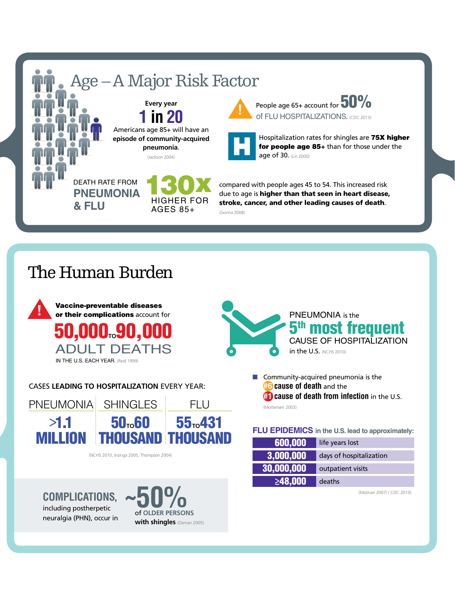

### The Human Burden



CASES **LEADING TO HOSPITALIZATION** EVERY YEAR:



(NCHS 2010, Insinga 2005, Thompson 2004)



including postherpetic neuralgia (PHN), occur in





 $\blacksquare$  Community-acquired pneumonia is the **#6 cause of death** and the **#1 cause of death from infection** in the U.S. (Mortensen 2003)

#### **FLU EPIDEMICS in the U.S. lead to approximately:**

| 600,000             | life years lost         |
|---------------------|-------------------------|
| $ 3,000,000\rangle$ | days of hospitalization |
| 30,000,000          | outpatient visits       |
| $\geq 48,000$       | deaths                  |

(Molinari 2007) ( CDC 2010)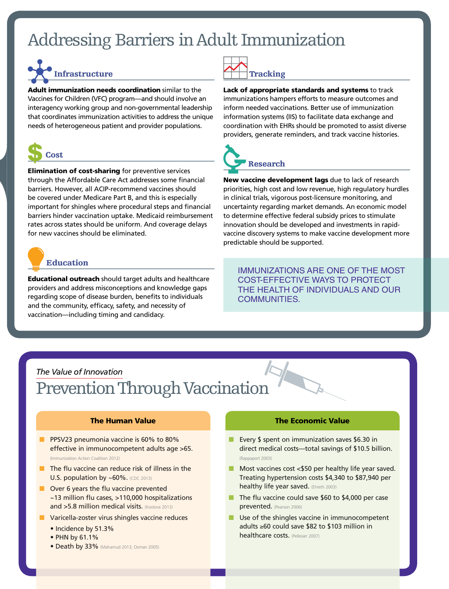## Addressing Barriers in Adult Immunization



Adult immunization needs coordination similar to the Vaccines for Children (VFC) program—and should involve an interagency working group and non-governmental leadership that coordinates immunization activities to address the unique needs of heterogeneous patient and provider populations.



Elimination of cost-sharing for preventive services through the Affordable Care Act addresses some financial barriers. However, all ACIP-recommend vaccines should be covered under Medicare Part B, and this is especially important for shingles where procedural steps and financial barriers hinder vaccination uptake. Medicaid reimbursement rates across states should be uniform. And coverage delays for new vaccines should be eliminated.



Educational outreach should target adults and healthcare providers and address misconceptions and knowledge gaps regarding scope of disease burden, benefits to individuals and the community, efficacy, safety, and necessity of vaccination—including timing and candidacy.

|  | <b>Tracking</b> |
|--|-----------------|

Lack of appropriate standards and systems to track immunizations hampers efforts to measure outcomes and inform needed vaccinations. Better use of immunization information systems (IIS) to facilitate data exchange and coordination with EHRs should be promoted to assist diverse providers, generate reminders, and track vaccine histories.



New vaccine development lags due to lack of research priorities, high cost and low revenue, high regulatory hurdles in clinical trials, vigorous post-licensure monitoring, and uncertainty regarding market demands. An economic model to determine effective federal subsidy prices to stimulate innovation should be developed and investments in rapidvaccine discovery systems to make vaccine development more predictable should be supported.

IMMUNIZATIONS ARE ONE OF THE MOST COST-EFFECTIVE WAYS TO PROTECT THE HEALTH OF INDIVIDUALS AND OUR COMMUNITIES.

### *The Value of Innovation* Prevention Through Vaccination

#### The Human Value

- PPSV23 pneumonia vaccine is 60% to 80% effective in immunocompetent adults age >65. (Immunization Action Coalition 2012)
- $\blacksquare$  The flu vaccine can reduce risk of illness in the U.S. population by ~60%. (CDC 2013)
- $\blacksquare$  Over 6 years the flu vaccine prevented ~13 million flu cases, >110,000 hospitalizations and >5.8 million medical visits. (Kostova 2013)
- $\blacksquare$  Varicella-zoster virus shingles vaccine reduces
	- Incidence by 51.3%
	- PHN by 61.1%
	- Death by 33% (Mahamud 2013, Oxman 2005)

#### The Economic Value

- Every  $$$  spent on immunization saves  $$6.30$  in direct medical costs—total savings of \$10.5 billion. (Rappaport 2003)
- $\blacksquare$  Most vaccines cost <\$50 per healthy life year saved. Treating hypertension costs \$4,340 to \$87,940 per healthy life year saved. (Ehreth 2003)
- $\blacksquare$  The flu vaccine could save \$60 to \$4,000 per case prevented. (Pearson 2006)
- $\blacksquare$  Use of the shingles vaccine in immunocompetent adults ≥60 could save \$82 to \$103 million in healthcare costs. (Pellesier 2007)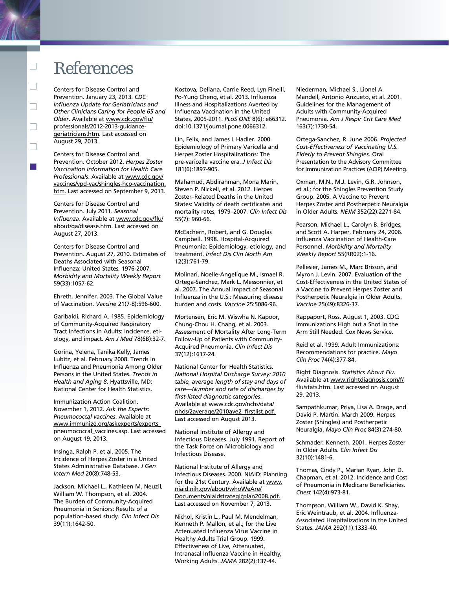### References

Centers for Disease Control and Prevention. January 23, 2013. *CDC Influenza Update for Geriatricians and Other Clinicians Caring for People 65 and Older*. Available at www.cdc.gov/flu/ professionals/2012-2013-guidancegeriatricians.htm. Last accessed on August 29, 2013.

Centers for Disease Control and Prevention. October 2012. *Herpes Zoster Vaccination Information for Health Care Professionals*. Available at www.cdc.gov/ vaccines/vpd-vac/shingles-hcp-vaccination. htm. Last accessed on September 9, 2013.

Centers for Disease Control and Prevention. July 2011. *Seasonal Influenza*. Available at www.cdc.gov/flu/ about/qa/disease.htm. Last accessed on August 27, 2013.

Centers for Disease Control and Prevention. August 27, 2010. Estimates of Deaths Associated with Seasonal Influenza: United States, 1976-2007. *Morbidity and Mortality Weekly Report* 59(33):1057-62.

Ehreth, Jennifer. 2003. The Global Value of Vaccination. *Vaccine* 21(7-8):596-600.

Garibaldi, Richard A. 1985. Epidemiology of Community-Acquired Respiratory Tract Infections in Adults: Incidence, etiology, and impact. *Am J Med* 78(6B):32-7.

Gorina, Yelena, Tanika Kelly, James Lubitz, et al. February 2008. Trends in Influenza and Pneumonia Among Older Persons in the United States. *Trends in Health and Aging 8*. Hyattsville, MD: National Center for Health Statistics.

Immunization Action Coalition. November 1, 2012. *Ask the Experts: Pneumococcal vaccines*. Available at www.immunize.org/askexperts/experts\_ pneumococcal\_vaccines.asp. Last accessed on August 19, 2013.

Insinga, Ralph P. et al. 2005. The Incidence of Herpes Zoster in a United States Administrative Database. *J Gen Intern Med* 20(8):748-53.

Jackson, Michael L., Kathleen M. Neuzil, William W. Thompson, et al. 2004. The Burden of Community-Acquired Pneumonia in Seniors: Results of a population-based study. *Clin Infect Dis* 39(11):1642-50.

Kostova, Deliana, Carrie Reed, Lyn Finelli, Po-Yung Cheng, et al. 2013. Influenza Illness and Hospitalizations Averted by Influenza Vaccination in the United States, 2005-2011. *PLoS ONE* 8(6): e66312. doi:10.1371/journal.pone.0066312.

Lin, Felix, and James L Hadler. 2000. Epidemiology of Primary Varicella and Herpes Zoster Hospitalizations: The pre-varicella vaccine era. *J Infect Dis* 181(6):1897-905.

Mahamud, Abdirahman, Mona Marin, Steven P. Nickell, et al. 2012. Herpes Zoster–Related Deaths in the United States: Validity of death certificates and mortality rates, 1979–2007. *Clin Infect Dis* 55(7): 960-66.

McEachern, Robert, and G. Douglas Campbell. 1998. Hospital-Acquired Pneumonia: Epidemiology, etiology, and treatment. *Infect Dis Clin North Am*  12(3):761-79.

Molinari, Noelle-Angelique M., Ismael R. Ortega-Sanchez, Mark L. Messonnier, et al. 2007. The Annual Impact of Seasonal Influenza in the U.S.: Measuring disease burden and costs. *Vaccine* 25:5086-96.

Mortensen, Eric M. Wiswha N. Kapoor, Chung-Chou H. Chang, et al. 2003. Assessment of Mortality After Long-Term Follow-Up of Patients with Community-Acquired Pneumonia. *Clin Infect Dis* 37(12):1617-24.

National Center for Health Statistics. *National Hospital Discharge Survey: 2010 table, average length of stay and days of care—Number and rate of discharges by first-listed diagnostic categories*. Available at www.cdc.gov/nchs/data/ nhds/2average/2010ave2\_firstlist.pdf. Last accessed on August 2013.

National Institute of Allergy and Infectious Diseases. July 1991. Report of the Task Force on Microbiology and Infectious Disease.

National Institute of Allergy and Infectious Diseases. 2000. NIAID: Planning for the 21st Century. Available at www. niaid.nih.gov/about/whoWeAre/ Documents/niaidstrategicplan2008.pdf. Last accessed on November 7, 2013.

Nichol, Kristin L., Paul M. Mendelman, Kenneth P. Mallon, et al.; for the Live Attenuated Influenza Virus Vaccine in Healthy Adults Trial Group. 1999. Effectiveness of Live, Attenuated, Intranasal Influenza Vaccine in Healthy, Working Adults. *JAMA* 282(2):137-44.

Niederman, Michael S., Lionel A. Mandell, Antonio Anzueto, et al. 2001. Guidelines for the Management of Adults with Community-Acquired Pneumonia. *Am J Respir Crit Care Med*  163(7):1730-54.

Ortega-Sanchez, R. June 2006. *Projected Cost-Effectiveness of Vaccinating U.S. Elderly to Prevent Shingles*. Oral Presentation to the Advisory Committee for Immunization Practices (ACIP) Meeting.

Oxman, M.N., M.J. Levin, G.R. Johnson, et al.; for the Shingles Prevention Study Group. 2005. A Vaccine to Prevent Herpes Zoster and Postherpetic Neuralgia in Older Adults. *NEJM* 352(22):2271-84.

Pearson, Michael L., Carolyn B. Bridges, and Scott A. Harper. February 24, 2006. Influenza Vaccination of Health-Care Personnel. *Morbidity and Mortality Weekly Report* 55(RR02):1-16.

Pellesier, James M., Marc Brisson, and Myron J. Levin. 2007. Evaluation of the Cost-Effectiveness in the United States of a Vaccine to Prevent Herpes Zoster and Postherpetic Neuralgia in Older Adults. *Vaccine* 25(49):8326-37.

Rappaport, Ross. August 1, 2003. CDC: Immunizations High but a Shot in the Arm Still Needed. Cox News Service.

Reid et al. 1999. Adult Immunizations: Recommendations for practice. *Mayo Clin Proc* 74(4):377-84.

Right Diagnosis. *Statistics About Flu*. Available at www.rightdiagnosis.com/f/ flu/stats.htm. Last accessed on August 29, 2013.

Sampathkumar, Priya, Lisa A. Drage, and David P. Martin. March 2009. Herpes Zoster (Shingles) and Postherpetic Neuralgia. *Mayo Clin Proc* 84(3):274-80.

Schmader, Kenneth. 2001. Herpes Zoster in Older Adults. *Clin Infect Dis* 32(10):1481-6.

Thomas, Cindy P., Marian Ryan, John D. Chapman, et al. 2012. Incidence and Cost of Pneumonia in Medicare Beneficiaries. *Chest* 142(4):973-81.

Thompson, William W., David K. Shay, Eric Weintraub, et al. 2004. Influenza-Associated Hospitalizations in the United States. *JAMA* 292(11):1333-40.